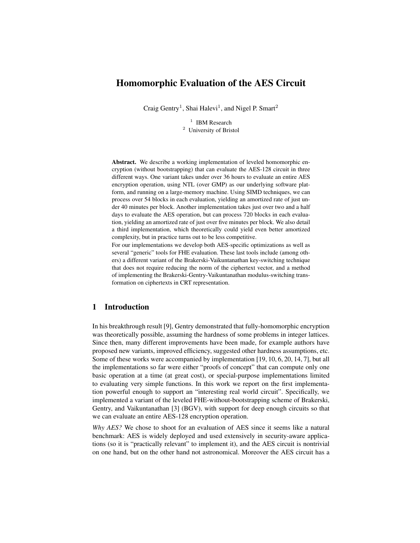# Homomorphic Evaluation of the AES Circuit

Craig Gentry<sup>1</sup>, Shai Halevi<sup>1</sup>, and Nigel P. Smart<sup>2</sup>

<sup>1</sup> IBM Research <sup>2</sup> University of Bristol

Abstract. We describe a working implementation of leveled homomorphic encryption (without bootstrapping) that can evaluate the AES-128 circuit in three different ways. One variant takes under over 36 hours to evaluate an entire AES encryption operation, using NTL (over GMP) as our underlying software platform, and running on a large-memory machine. Using SIMD techniques, we can process over 54 blocks in each evaluation, yielding an amortized rate of just under 40 minutes per block. Another implementation takes just over two and a half days to evaluate the AES operation, but can process 720 blocks in each evaluation, yielding an amortized rate of just over five minutes per block. We also detail a third implementation, which theoretically could yield even better amortized complexity, but in practice turns out to be less competitive.

For our implementations we develop both AES-specific optimizations as well as several "generic" tools for FHE evaluation. These last tools include (among others) a different variant of the Brakerski-Vaikuntanathan key-switching technique that does not require reducing the norm of the ciphertext vector, and a method of implementing the Brakerski-Gentry-Vaikuntanathan modulus-switching transformation on ciphertexts in CRT representation.

# 1 Introduction

In his breakthrough result [9], Gentry demonstrated that fully-homomorphic encryption was theoretically possible, assuming the hardness of some problems in integer lattices. Since then, many different improvements have been made, for example authors have proposed new variants, improved efficiency, suggested other hardness assumptions, etc. Some of these works were accompanied by implementation [19, 10, 6, 20, 14, 7], but all the implementations so far were either "proofs of concept" that can compute only one basic operation at a time (at great cost), or special-purpose implementations limited to evaluating very simple functions. In this work we report on the first implementation powerful enough to support an "interesting real world circuit". Specifically, we implemented a variant of the leveled FHE-without-bootstrapping scheme of Brakerski, Gentry, and Vaikuntanathan [3] (BGV), with support for deep enough circuits so that we can evaluate an entire AES-128 encryption operation.

*Why AES?* We chose to shoot for an evaluation of AES since it seems like a natural benchmark: AES is widely deployed and used extensively in security-aware applications (so it is "practically relevant" to implement it), and the AES circuit is nontrivial on one hand, but on the other hand not astronomical. Moreover the AES circuit has a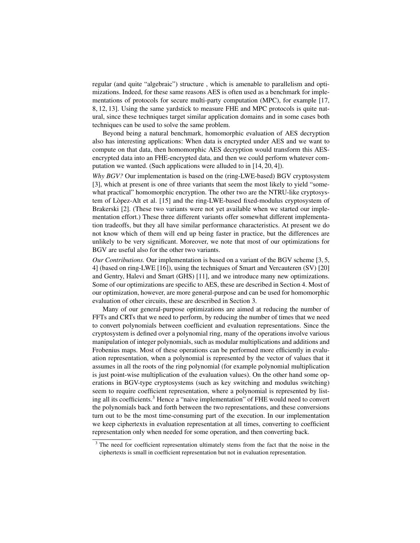regular (and quite "algebraic") structure , which is amenable to parallelism and optimizations. Indeed, for these same reasons AES is often used as a benchmark for implementations of protocols for secure multi-party computation (MPC), for example [17, 8, 12, 13]. Using the same yardstick to measure FHE and MPC protocols is quite natural, since these techniques target similar application domains and in some cases both techniques can be used to solve the same problem.

Beyond being a natural benchmark, homomorphic evaluation of AES decryption also has interesting applications: When data is encrypted under AES and we want to compute on that data, then homomorphic AES decryption would transform this AESencrypted data into an FHE-encrypted data, and then we could perform whatever computation we wanted. (Such applications were alluded to in [14, 20, 4]).

*Why BGV?* Our implementation is based on the (ring-LWE-based) BGV cryptosystem [3], which at present is one of three variants that seem the most likely to yield "somewhat practical" homomorphic encryption. The other two are the NTRU-like cryptosystem of Lòpez-Alt et al. [15] and the ring-LWE-based fixed-modulus cryptosystem of Brakerski [2]. (These two variants were not yet available when we started our implementation effort.) These three different variants offer somewhat different implementation tradeoffs, but they all have similar performance characteristics. At present we do not know which of them will end up being faster in practice, but the differences are unlikely to be very significant. Moreover, we note that most of our optimizations for BGV are useful also for the other two variants.

*Our Contributions.* Our implementation is based on a variant of the BGV scheme [3, 5, 4] (based on ring-LWE [16]), using the techniques of Smart and Vercauteren (SV) [20] and Gentry, Halevi and Smart (GHS) [11], and we introduce many new optimizations. Some of our optimizations are specific to AES, these are described in Section 4. Most of our optimization, however, are more general-purpose and can be used for homomorphic evaluation of other circuits, these are described in Section 3.

Many of our general-purpose optimizations are aimed at reducing the number of FFTs and CRTs that we need to perform, by reducing the number of times that we need to convert polynomials between coefficient and evaluation representations. Since the cryptosystem is defined over a polynomial ring, many of the operations involve various manipulation of integer polynomials, such as modular multiplications and additions and Frobenius maps. Most of these operations can be performed more efficiently in evaluation representation, when a polynomial is represented by the vector of values that it assumes in all the roots of the ring polynomial (for example polynomial multiplication is just point-wise multiplication of the evaluation values). On the other hand some operations in BGV-type cryptosystems (such as key switching and modulus switching) seem to require coefficient representation, where a polynomial is represented by listing all its coefficients.<sup>3</sup> Hence a "naive implementation" of FHE would need to convert the polynomials back and forth between the two representations, and these conversions turn out to be the most time-consuming part of the execution. In our implementation we keep ciphertexts in evaluation representation at all times, converting to coefficient representation only when needed for some operation, and then converting back.

<sup>&</sup>lt;sup>3</sup> The need for coefficient representation ultimately stems from the fact that the noise in the ciphertexts is small in coefficient representation but not in evaluation representation.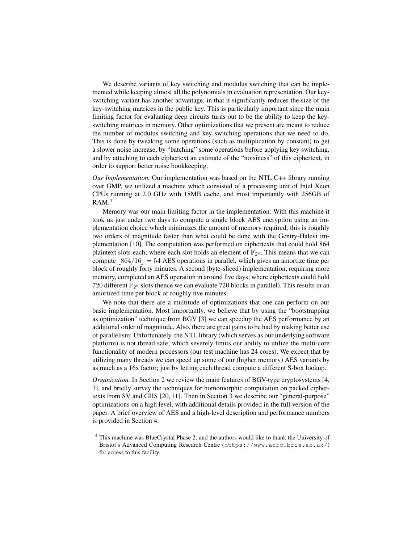We describe variants of key switching and modulus switching that can be implemented while keeping almost all the polynomials in evaluation representation. Our keyswitching variant has another advantage, in that it significantly reduces the size of the key-switching matrices in the public key. This is particularly important since the main limiting factor for evaluating deep circuits turns out to be the ability to keep the keyswitching matrices in memory. Other optimizations that we present are meant to reduce the number of modulus switching and key switching operations that we need to do. This is done by tweaking some operations (such as multiplication by constant) to get a slower noise increase, by "batching" some operations before applying key switching, and by attaching to each ciphertext an estimate of the "noisiness" of this ciphertext, in order to support better noise bookkeeping.

*Our Implementation.* Our implementation was based on the NTL C++ library running over GMP, we utilized a machine which consisted of a processing unit of Intel Xeon CPUs running at 2.0 GHz with 18MB cache, and most importantly with 256GB of  $RAM.<sup>4</sup>$ 

Memory was our main limiting factor in the implementation. With this machine it took us just under two days to compute a single block AES encryption using an implementation choice which minimizes the amount of memory required; this is roughly two orders of magnitude faster than what could be done with the Gentry-Halevi implementation [10]. The computation was performed on ciphertexts that could hold 864 plaintext slots each; where each slot holds an element of  $\mathbb{F}_{2^8}$ . This means that we can compute  $|864/16| = 54$  AES operations in parallel, which gives an amortize time per block of roughly forty minutes. A second (byte-sliced) implementation, requiring more memory, completed an AES operation in around five days; where ciphertexts could hold 720 different  $\mathbb{F}_{28}$  slots (hence we can evaluate 720 blocks in parallel). This results in an amortized time per block of roughly five minutes.

We note that there are a multitude of optimizations that one can perform on our basic implementation. Most importantly, we believe that by using the "bootstrapping as optimization" technique from BGV [3] we can speedup the AES performance by an additional order of magnitude. Also, there are great gains to be had by making better use of parallelism: Unfortunately, the NTL library (which serves as our underlying software platform) is not thread safe, which severely limits our ability to utilize the multi-core functionality of modern processors (our test machine has 24 cores). We expect that by utilizing many threads we can speed up some of our (higher memory) AES variants by as much as a 16x factor; just by letting each thread compute a different S-box lookup.

*Organization.* In Section 2 we review the main features of BGV-type cryptosystems [4, 3], and briefly survey the techniques for homomorphic computation on packed ciphertexts from SV and GHS [20, 11]. Then in Section 3 we describe our "general-purpose" optimizations on a high level, with additional details provided in the full version of the paper. A brief overview of AES and a high-level description and performance numbers is provided in Section 4.

<sup>4</sup> This machine was BlueCrystal Phase 2; and the authors would like to thank the University of Bristol's Advanced Computing Research Centre (https://www.acrc.bris.ac.uk/) for access to this facility.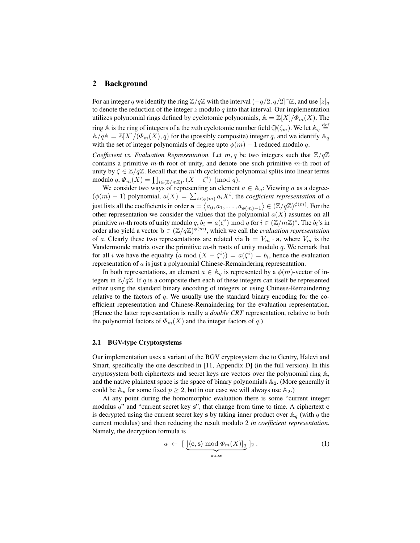# 2 Background

For an integer q we identify the ring  $\mathbb{Z}/q\mathbb{Z}$  with the interval  $(-q/2, q/2] \cap \mathbb{Z}$ , and use  $[z]_q$ to denote the reduction of the integer  $z$  modulo  $q$  into that interval. Our implementation utilizes polynomial rings defined by cyclotomic polynomials,  $\mathbb{A} = \mathbb{Z}[X]/\Phi_m(X)$ . The ring A is the ring of integers of a the mth cyclotomic number field  $\mathbb{Q}(\zeta_m)$ . We let  $\mathbb{A}_q \stackrel{\text{def}}{=}$  $\mathbb{A}/q\mathbb{A} = \mathbb{Z}[X]/(\Phi_m(X), q)$  for the (possibly composite) integer q, and we identify  $\mathbb{A}_q$ with the set of integer polynomials of degree upto  $\phi(m) - 1$  reduced modulo q.

*Coefficient vs. Evaluation Representation.* Let  $m, q$  be two integers such that  $\mathbb{Z}/q\mathbb{Z}$ contains a primitive  $m$ -th root of unity, and denote one such primitive  $m$ -th root of unity by  $\zeta \in \mathbb{Z}/q\mathbb{Z}$ . Recall that the m'th cyclotomic polynomial splits into linear terms modulo  $q, \Phi_m(X) = \prod_{i \in (\mathbb{Z}/m\mathbb{Z})^*} (X - \zeta^i) \pmod{q}$ .

We consider two ways of representing an element  $a \in A_q$ : Viewing a as a degree- $(\phi(m) - 1)$  polynomial,  $a(X) = \sum_{i < \phi(m)} a_i X^i$ , the *coefficient representation* of a just lists all the coefficients in order  $\mathbf{a}=\big\langle a_0,a_1,\ldots,a_{\phi(m)-1}\big\rangle\in(\mathbb{Z}/q\mathbb{Z})^{\phi(m)}.$  For the other representation we consider the values that the polynomial  $a(X)$  assumes on all primitive m-th roots of unity modulo  $q, b_i = a(\zeta^i) \bmod q$  for  $i \in (\mathbb{Z}/m\mathbb{Z})^*$ . The  $b_i$ 's in order also yield a vector  $\mathbf{b} \in (\mathbb{Z}/q\mathbb{Z})^{\phi(m)}$ , which we call the *evaluation representation* of a. Clearly these two representations are related via  $\mathbf{b} = V_m \cdot \mathbf{a}$ , where  $V_m$  is the Vandermonde matrix over the primitive  $m$ -th roots of unity modulo  $q$ . We remark that for all *i* we have the equality  $(a \mod (X - \zeta^i)) = a(\zeta^i) = b_i$ , hence the evaluation representation of a is just a polynomial Chinese-Remaindering representation.

In both representations, an element  $a \in A_q$  is represented by a  $\phi(m)$ -vector of integers in  $\mathbb{Z}/q\mathbb{Z}$ . If q is a composite then each of these integers can itself be represented either using the standard binary encoding of integers or using Chinese-Remaindering relative to the factors of  $q$ . We usually use the standard binary encoding for the coefficient representation and Chinese-Remaindering for the evaluation representation. (Hence the latter representation is really a *double CRT* representation, relative to both the polynomial factors of  $\Phi_m(X)$  and the integer factors of q.)

#### 2.1 BGV-type Cryptosystems

Our implementation uses a variant of the BGV cryptosystem due to Gentry, Halevi and Smart, specifically the one described in [11, Appendix D] (in the full version). In this cryptosystem both ciphertexts and secret keys are vectors over the polynomial ring A, and the native plaintext space is the space of binary polynomials  $A_2$ . (More generally it could be  $A_p$  for some fixed  $p \geq 2$ , but in our case we will always use  $A_2$ .)

At any point during the homomorphic evaluation there is some "current integer modulus  $q$ " and "current secret key s", that change from time to time. A ciphertext  $c$ is decrypted using the current secret key s by taking inner product over  $\mathbb{A}_q$  (with q the current modulus) and then reducing the result modulo 2 *in coefficient representation*. Namely, the decryption formula is

$$
a \leftarrow \left[ \underbrace{\left[ \langle \mathbf{c}, \mathbf{s} \rangle \bmod \Phi_m(X) \right]_q}_{\text{noise}} \right]_2. \tag{1}
$$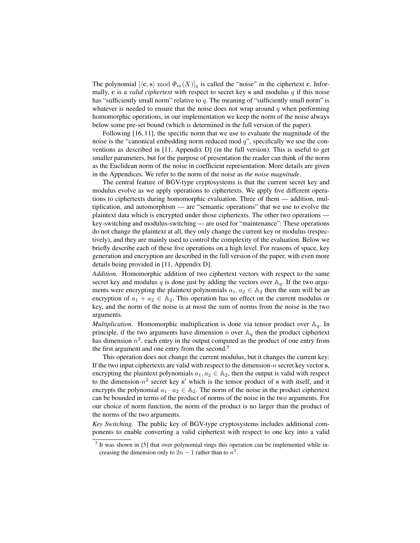The polynomial  $[\langle \mathbf{c}, \mathbf{s} \rangle \bmod \Phi_m(X)]_q$  is called the "noise" in the ciphertext c. Informally,  $c$  is a *valid ciphertext* with respect to secret key  $s$  and modulus  $q$  if this noise has "sufficiently small norm" relative to  $q$ . The meaning of "sufficiently small norm" is whatever is needed to ensure that the noise does not wrap around  $q$  when performing homomorphic operations, in our implementation we keep the norm of the noise always below some pre-set bound (which is determined in the full version of the paper).

Following [16, 11], the specific norm that we use to evaluate the magnitude of the noise is the "canonical embedding norm reduced mod q", specifically we use the conventions as described in [11, Appendix D] (in the full version). This is useful to get smaller parameters, but for the purpose of presentation the reader can think of the norm as the Euclidean norm of the noise in coefficient representation. More details are given in the Appendices. We refer to the norm of the noise as *the noise magnitude*.

The central feature of BGV-type cryptosystems is that the current secret key and modulus evolve as we apply operations to ciphertexts. We apply five different operations to ciphertexts during homomorphic evaluation. Three of them — addition, multiplication, and automorphism — are "semantic operations" that we use to evolve the plaintext data which is encrypted under those ciphertexts. The other two operations key-switching and modulus-switching — are used for "maintenance": These operations do not change the plaintext at all, they only change the current key or modulus (respectively), and they are mainly used to control the complexity of the evaluation. Below we briefly describe each of these five operations on a high level. For reasons of space, key generation and encryption are described in the full version of the paper, with even more details being provided in [11, Appendix D].

*Addition.* Homomorphic addition of two ciphertext vectors with respect to the same secret key and modulus q is done just by adding the vectors over  $A_q$ . If the two arguments were encrypting the plaintext polynomials  $a_1, a_2 \in A_2$  then the sum will be an encryption of  $a_1 + a_2 \in A_2$ . This operation has no effect on the current modulus or key, and the norm of the noise is at most the sum of norms from the noise in the two arguments.

*Multiplication.* Homomorphic multiplication is done via tensor product over  $\mathbb{A}_q$ . In principle, if the two arguments have dimension n over  $A_q$  then the product ciphertext has dimension  $n^2$ , each entry in the output computed as the product of one entry from the first argument and one entry from the second.<sup>5</sup>

This operation does not change the current modulus, but it changes the current key: If the two input ciphertexts are valid with respect to the dimension- $n$  secret key vector  $s$ , encrypting the plaintext polynomials  $a_1, a_2 \in A_2$ , then the output is valid with respect to the dimension- $n^2$  secret key s' which is the tensor product of s with itself, and it encrypts the polynomial  $a_1 \cdot a_2 \in A_2$ . The norm of the noise in the product ciphertext can be bounded in terms of the product of norms of the noise in the two arguments. For our choice of norm function, the norm of the product is no larger than the product of the norms of the two arguments.

*Key Switching.* The public key of BGV-type cryptosystems includes additional components to enable converting a valid ciphertext with respect to one key into a valid

<sup>&</sup>lt;sup>5</sup> It was shown in [5] that over polynomial rings this operation can be implemented while increasing the dimension only to  $2n - 1$  rather than to  $n^2$ .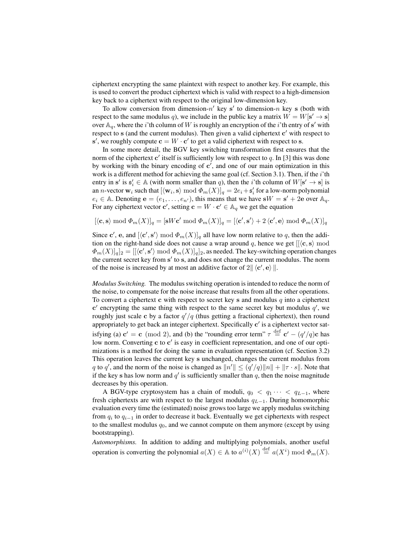ciphertext encrypting the same plaintext with respect to another key. For example, this is used to convert the product ciphertext which is valid with respect to a high-dimension key back to a ciphertext with respect to the original low-dimension key.

To allow conversion from dimension- $n'$  key s' to dimension- $n$  key s (both with respect to the same modulus q, we include in the public key a matrix  $W = W[\mathbf{s}' \to \mathbf{s}]$ over  $\mathbb{A}_q$ , where the *i*'th column of W is roughly an encryption of the *i*'th entry of s' with respect to  $s$  (and the current modulus). Then given a valid ciphertext  $c'$  with respect to s', we roughly compute  $\mathbf{c} = W \cdot \mathbf{c}'$  to get a valid ciphertext with respect to s.

In some more detail, the BGV key switching transformation first ensures that the norm of the ciphertext  $c'$  itself is sufficiently low with respect to  $q$ . In [3] this was done by working with the binary encoding of c', and one of our main optimization in this work is a different method for achieving the same goal (cf. Section 3.1). Then, if the  $i$ 'th entry in s' is  $\mathfrak{s}'_i \in \mathbb{A}$  (with norm smaller than q), then the *i*'th column of  $W[\mathbf{s}' \to \mathbf{s}]$  is an *n*-vector  $w_i$  such that  $[\langle w_i, s \rangle \bmod \Phi_m(X)]_q = 2e_i + \mathfrak{s}'_i$  for a low-norm polynomial  $e_i \in \mathbb{A}$ . Denoting  $\mathbf{e} = (e_1, \dots, e_{n'})$ , this means that we have  $sW = s' + 2e$  over  $\mathbb{A}_q$ . For any ciphertext vector  $\mathbf{c}'$ , setting  $\mathbf{c} = W \cdot \mathbf{c}' \in A_q$  we get the equation

$$
[\langle \mathbf{c}, \mathbf{s} \rangle \bmod \Phi_m(X)]_q = [\mathbf{s}W\mathbf{c}' \bmod \Phi_m(X)]_q = [\langle \mathbf{c}', \mathbf{s}' \rangle + 2 \langle \mathbf{c}', \mathbf{e} \rangle \bmod \Phi_m(X)]_q
$$

Since c', e, and  $[\langle \mathbf{c}', \mathbf{s}' \rangle \bmod \Phi_m(X)]_q$  all have low norm relative to q, then the addition on the right-hand side does not cause a wrap around q, hence we get  $\langle (\mathbf{c}, \mathbf{s}) \bmod$  $\Phi_m(X)]_q]_2 = [[\langle \mathbf{c}', \mathbf{s}' \rangle \bmod \Phi_m(X)]_q]_2$ , as needed. The key-switching operation changes the current secret key from s' to s, and does not change the current modulus. The norm of the noise is increased by at most an additive factor of  $2||\langle \mathbf{c}', \mathbf{e} \rangle||$ .

*Modulus Switching.* The modulus switching operation is intended to reduce the norm of the noise, to compensate for the noise increase that results from all the other operations. To convert a ciphertext c with respect to secret key s and modulus q into a ciphertext  $c'$  encrypting the same thing with respect to the same secret key but modulus  $q'$ , we roughly just scale c by a factor  $q'/q$  (thus getting a fractional ciphertext), then round appropriately to get back an integer ciphertext. Specifically  $c'$  is a ciphertext vector satisfying (a)  $\mathbf{c}' = \mathbf{c} \pmod{2}$ , and (b) the "rounding error term"  $\tau \stackrel{\text{def}}{=} \mathbf{c}' - (q'/q)\mathbf{c}$  has low norm. Converting c to c' is easy in coefficient representation, and one of our optimizations is a method for doing the same in evaluation representation (cf. Section 3.2) This operation leaves the current key s unchanged, changes the current modulus from q to q', and the norm of the noise is changed as  $||n'|| \leq (q'/q)||n|| + ||\tau \cdot s||$ . Note that if the key s has low norm and  $q'$  is sufficiently smaller than q, then the noise magnitude decreases by this operation.

A BGV-type cryptosystem has a chain of moduli,  $q_0 < q_1 \cdots < q_{L-1}$ , where fresh ciphertexts are with respect to the largest modulus  $q_{L-1}$ . During homomorphic evaluation every time the (estimated) noise grows too large we apply modulus switching from  $q_i$  to  $q_{i-1}$  in order to decrease it back. Eventually we get ciphertexts with respect to the smallest modulus  $q_0$ , and we cannot compute on them anymore (except by using bootstrapping).

*Automorphisms.* In addition to adding and multiplying polynomials, another useful operation is converting the polynomial  $a(X) \in A$  to  $a^{(i)}(X) \stackrel{\text{def}}{=} a(X^i) \bmod \Phi_m(X)$ .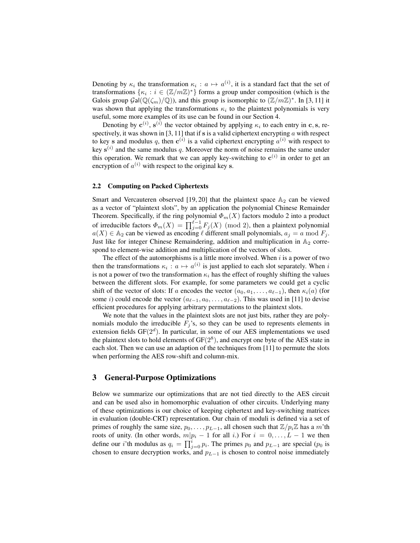Denoting by  $\kappa_i$  the transformation  $\kappa_i : a \mapsto a^{(i)}$ , it is a standard fact that the set of transformations  $\{\kappa_i : i \in (\mathbb{Z}/m\mathbb{Z})^*\}$  forms a group under composition (which is the Galois group  $\mathcal{G}$ al $(\mathbb{Q}(\zeta_m)/\mathbb{Q})$ ), and this group is isomorphic to  $(\mathbb{Z}/m\mathbb{Z})^*$ . In [3, 11] it was shown that applying the transformations  $\kappa_i$  to the plaintext polynomials is very useful, some more examples of its use can be found in our Section 4.

Denoting by  $\mathbf{c}^{(i)}$ ,  $\mathbf{s}^{(i)}$  the vector obtained by applying  $\kappa_i$  to each entry in c, s, respectively, it was shown in [3, 11] that if s is a valid ciphertext encrypting  $\alpha$  with respect to key s and modulus q, then  $c^{(i)}$  is a valid ciphertext encrypting  $a^{(i)}$  with respect to key  $s^{(i)}$  and the same modulus q. Moreover the norm of noise remains the same under this operation. We remark that we can apply key-switching to  $c^{(i)}$  in order to get an encryption of  $a^{(i)}$  with respect to the original key s.

#### 2.2 Computing on Packed Ciphertexts

Smart and Vercauteren observed [19, 20] that the plaintext space  $A_2$  can be viewed as a vector of "plaintext slots", by an application the polynomial Chinese Remainder Theorem. Specifically, if the ring polynomial  $\Phi_m(X)$  factors modulo 2 into a product of irreducible factors  $\Phi_m(X) = \prod_{j=0}^{\ell-1} F_j(X) \pmod{2}$ , then a plaintext polynomial  $a(X) \in A_2$  can be viewed as encoding  $\ell$  different small polynomials,  $a_j = a \mod F_j$ . Just like for integer Chinese Remaindering, addition and multiplication in  $\mathbb{A}_2$  correspond to element-wise addition and multiplication of the vectors of slots.

The effect of the automorphisms is a little more involved. When  $i$  is a power of two then the transformations  $\kappa_i : a \mapsto a^{(i)}$  is just applied to each slot separately. When i is not a power of two the transformation  $\kappa_i$  has the effect of roughly shifting the values between the different slots. For example, for some parameters we could get a cyclic shift of the vector of slots: If a encodes the vector  $(a_0, a_1, \ldots, a_{\ell-1})$ , then  $\kappa_i(a)$  (for some *i*) could encode the vector  $(a_{\ell-1}, a_0, \ldots, a_{\ell-2})$ . This was used in [11] to devise efficient procedures for applying arbitrary permutations to the plaintext slots.

We note that the values in the plaintext slots are not just bits, rather they are polynomials modulo the irreducible  $F_j$ 's, so they can be used to represents elements in extension fields  $GF(2<sup>d</sup>)$ . In particular, in some of our AES implementations we used the plaintext slots to hold elements of  $GF(2^8)$ , and encrypt one byte of the AES state in each slot. Then we can use an adaption of the techniques from [11] to permute the slots when performing the AES row-shift and column-mix.

# 3 General-Purpose Optimizations

Below we summarize our optimizations that are not tied directly to the AES circuit and can be used also in homomorphic evaluation of other circuits. Underlying many of these optimizations is our choice of keeping ciphertext and key-switching matrices in evaluation (double-CRT) representation. Our chain of moduli is defined via a set of primes of roughly the same size,  $p_0, \ldots, p_{L-1}$ , all chosen such that  $\mathbb{Z}/p_i\mathbb{Z}$  has a m'th roots of unity. (In other words,  $m|p_i - 1$  for all i.) For  $i = 0, \ldots, L - 1$  we then define our *i*'th modulus as  $q_i = \prod_{j=0}^{i} p_i$ . The primes  $p_0$  and  $p_{L-1}$  are special  $(p_0$  is chosen to ensure decryption works, and  $p_{L-1}$  is chosen to control noise immediately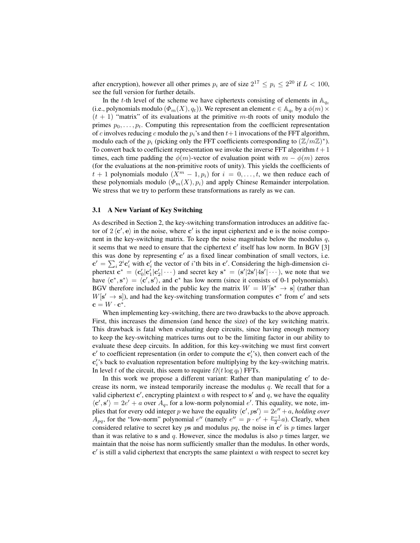after encryption), however all other primes  $p_i$  are of size  $2^{17} \le p_i \le 2^{20}$  if  $L < 100$ , see the full version for further details.

In the t-th level of the scheme we have ciphertexts consisting of elements in  $\mathbb{A}_{q_t}$ (i.e., polynomials modulo  $(\Phi_m(X), q_t)$ ). We represent an element  $c \in A_{q_t}$  by a  $\phi(m) \times$  $(t + 1)$  "matrix" of its evaluations at the primitive m-th roots of unity modulo the primes  $p_0, \ldots, p_t$ . Computing this representation from the coefficient representation of c involves reducing c modulo the  $p_i$ 's and then  $t+1$  invocations of the FFT algorithm, modulo each of the  $p_i$  (picking only the FFT coefficients corresponding to  $(\mathbb{Z}/m\mathbb{Z})^*$ ). To convert back to coefficient representation we invoke the inverse FFT algorithm  $t + 1$ times, each time padding the  $\phi(m)$ -vector of evaluation point with  $m - \phi(m)$  zeros (for the evaluations at the non-primitive roots of unity). This yields the coefficients of  $t + 1$  polynomials modulo  $(X^m - 1, p_i)$  for  $i = 0, \ldots, t$ , we then reduce each of these polynomials modulo  $(\Phi_m(X), p_i)$  and apply Chinese Remainder interpolation. We stress that we try to perform these transformations as rarely as we can.

#### 3.1 A New Variant of Key Switching

As described in Section 2, the key-switching transformation introduces an additive factor of  $2 \langle c', e \rangle$  in the noise, where c' is the input ciphertext and e is the noise component in the key-switching matrix. To keep the noise magnitude below the modulus  $q$ , it seems that we need to ensure that the ciphertext  $c'$  itself has low norm. In BGV [3] this was done by representing  $c'$  as a fixed linear combination of small vectors, i.e.  $\mathbf{c}' = \sum_i 2^i \mathbf{c}'_i$  with  $\mathbf{c}'_i$  the vector of *i*'th bits in  $\mathbf{c}'$ . Considering the high-dimension ciphertext  $\mathbf{c}^* = (\mathbf{c}'_0 | \mathbf{c}'_1 | \mathbf{c}'_2 | \cdots)$  and secret key  $\mathbf{s}^* = (\mathbf{s}' | 2\mathbf{s}' | 4\mathbf{s}' | \cdots)$ , we note that we have  $\langle c^*, s^* \rangle = \langle c', s' \rangle$ , and  $c^*$  has low norm (since it consists of 0-1 polynomials). BGV therefore included in the public key the matrix  $W = W[\mathbf{s}^* \to \mathbf{s}]$  (rather than  $W[\mathbf{s}' \to \mathbf{s}]$ ), and had the key-switching transformation computes  $\mathbf{c}^*$  from  $\mathbf{c}'$  and sets  $\mathbf{c}=W\cdot\mathbf{c}^*.$ 

When implementing key-switching, there are two drawbacks to the above approach. First, this increases the dimension (and hence the size) of the key switching matrix. This drawback is fatal when evaluating deep circuits, since having enough memory to keep the key-switching matrices turns out to be the limiting factor in our ability to evaluate these deep circuits. In addition, for this key-switching we must first convert  $c'$  to coefficient representation (in order to compute the  $c'_i$ 's), then convert each of the  $c_i$ 's back to evaluation representation before multiplying by the key-switching matrix. In level t of the circuit, this seem to require  $\Omega(t \log q_t)$  FFTs.

In this work we propose a different variant: Rather than manipulating  $c'$  to decrease its norm, we instead temporarily increase the modulus  $q$ . We recall that for a valid ciphertext  $c'$ , encrypting plaintext a with respect to  $s'$  and  $q$ , we have the equality  $\langle \mathbf{c}', \mathbf{s}' \rangle = 2e' + a$  over  $A_q$ , for a low-norm polynomial e'. This equality, we note, implies that for every odd integer p we have the equality  $\langle c', ps' \rangle = 2e'' + a$ , *holding over*  $A_{pq}$ , for the "low-norm" polynomial  $e''$  (namely  $e'' = p \cdot e' + \frac{p-1}{2}a$ ). Clearly, when considered relative to secret key ps and modulus pq, the noise in  $\mathbf{c}'$  is p times larger than it was relative to s and q. However, since the modulus is also  $p$  times larger, we maintain that the noise has norm sufficiently smaller than the modulus. In other words,  $c'$  is still a valid ciphertext that encrypts the same plaintext  $a$  with respect to secret key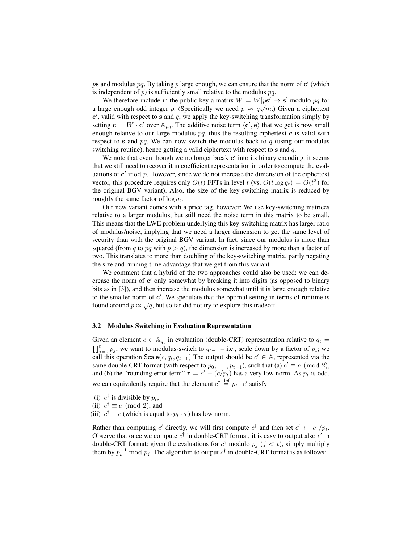ps and modulus pq. By taking p large enough, we can ensure that the norm of  $c'$  (which is independent of  $p$ ) is sufficiently small relative to the modulus  $pq$ .

We therefore include in the public key a matrix  $W = W[p\mathbf{s}' \to \mathbf{s}]$  modulo pq for a large enough odd integer p. (Specifically we need  $p \approx q\sqrt{m}$ .) Given a ciphertext  $c'$ , valid with respect to s and  $q$ , we apply the key-switching transformation simply by setting  $\mathbf{c} = W \cdot \mathbf{c}'$  over  $\mathbb{A}_{pq}$ . The additive noise term  $\langle \mathbf{c}', \mathbf{e} \rangle$  that we get is now small enough relative to our large modulus  $pq$ , thus the resulting ciphertext c is valid with respect to s and  $pq$ . We can now switch the modulus back to q (using our modulus switching routine), hence getting a valid ciphertext with respect to s and  $q$ .

We note that even though we no longer break  $c'$  into its binary encoding, it seems that we still need to recover it in coefficient representation in order to compute the evaluations of  $c'$  mod p. However, since we do not increase the dimension of the ciphertext vector, this procedure requires only  $O(t)$  FFTs in level t (vs.  $O(t \log q_t) = O(t^2)$  for the original BGV variant). Also, the size of the key-switching matrix is reduced by roughly the same factor of  $\log q_t$ .

Our new variant comes with a price tag, however: We use key-switching matrices relative to a larger modulus, but still need the noise term in this matrix to be small. This means that the LWE problem underlying this key-switching matrix has larger ratio of modulus/noise, implying that we need a larger dimension to get the same level of security than with the original BGV variant. In fact, since our modulus is more than squared (from q to pq with  $p > q$ ), the dimension is increased by more than a factor of two. This translates to more than doubling of the key-switching matrix, partly negating the size and running time advantage that we get from this variant.

We comment that a hybrid of the two approaches could also be used: we can decrease the norm of  $c'$  only somewhat by breaking it into digits (as opposed to binary bits as in [3]), and then increase the modulus somewhat until it is large enough relative to the smaller norm of  $c'$ . We speculate that the optimal setting in terms of runtime is found around  $p \approx \sqrt{q}$ , but so far did not try to explore this tradeoff.

#### 3.2 Modulus Switching in Evaluation Representation

Given an element  $c \in A_{q_t}$  in evaluation (double-CRT) representation relative to  $q_t =$  $\prod_{j=0}^{t} p_j$ , we want to modulus-switch to  $q_{t-1}$  – i.e., scale down by a factor of  $p_t$ ; we call this operation Scale $(c, q_t, q_{t-1})$  The output should be  $c' \in A$ , represented via the same double-CRT format (with respect to  $p_0, \ldots, p_{t-1}$ ), such that (a)  $c' \equiv c \pmod{2}$ , and (b) the "rounding error term"  $\tau = c' - (c/p_t)$  has a very low norm. As  $p_t$  is odd, we can equivalently require that the element  $c^{\dagger} \stackrel{\text{def}}{=} p_t \cdot c'$  satisfy

- (i)  $c^{\dagger}$  is divisible by  $p_t$ ,
- (ii)  $c^{\dagger} \equiv c \pmod{2}$ , and
- (iii)  $c^{\dagger} c$  (which is equal to  $p_t \cdot \tau$ ) has low norm.

Rather than computing c' directly, we will first compute  $c^{\dagger}$  and then set  $c' \leftarrow c^{\dagger}/p_t$ . Observe that once we compute  $c^{\dagger}$  in double-CRT format, it is easy to output also  $c'$  in double-CRT format: given the evaluations for  $c^{\dagger}$  modulo  $p_j$   $(j < t)$ , simply multiply them by  $p_t^{-1}$  mod  $p_j$ . The algorithm to output  $c^{\dagger}$  in double-CRT format is as follows: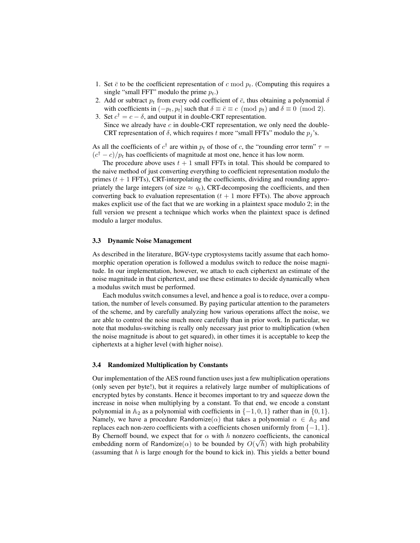- 1. Set  $\bar{c}$  to be the coefficient representation of c mod  $p_t$ . (Computing this requires a single "small FFT" modulo the prime  $p_t$ .)
- 2. Add or subtract  $p_t$  from every odd coefficient of  $\bar{c}$ , thus obtaining a polynomial  $\delta$ with coefficients in  $(-p_t, p_t]$  such that  $\delta \equiv \bar{c} \equiv c \pmod{p_t}$  and  $\delta \equiv 0 \pmod{2}$ .
- 3. Set  $c^{\dagger} = c \delta$ , and output it in double-CRT representation. Since we already have  $c$  in double-CRT representation, we only need the double-CRT representation of  $\delta$ , which requires t more "small FFTs" modulo the  $p_i$ 's.

As all the coefficients of  $c^{\dagger}$  are within  $p_t$  of those of c, the "rounding error term"  $\tau$  =  $(c^{\dagger} - c)/p_t$  has coefficients of magnitude at most one, hence it has low norm.

The procedure above uses  $t + 1$  small FFTs in total. This should be compared to the naive method of just converting everything to coefficient representation modulo the primes  $(t + 1$  FFTs), CRT-interpolating the coefficients, dividing and rounding appropriately the large integers (of size  $\approx q_t$ ), CRT-decomposing the coefficients, and then converting back to evaluation representation  $(t + 1$  more FFTs). The above approach makes explicit use of the fact that we are working in a plaintext space modulo 2; in the full version we present a technique which works when the plaintext space is defined modulo a larger modulus.

#### 3.3 Dynamic Noise Management

As described in the literature, BGV-type cryptosystems tacitly assume that each homomorphic operation operation is followed a modulus switch to reduce the noise magnitude. In our implementation, however, we attach to each ciphertext an estimate of the noise magnitude in that ciphertext, and use these estimates to decide dynamically when a modulus switch must be performed.

Each modulus switch consumes a level, and hence a goal is to reduce, over a computation, the number of levels consumed. By paying particular attention to the parameters of the scheme, and by carefully analyzing how various operations affect the noise, we are able to control the noise much more carefully than in prior work. In particular, we note that modulus-switching is really only necessary just prior to multiplication (when the noise magnitude is about to get squared), in other times it is acceptable to keep the ciphertexts at a higher level (with higher noise).

#### 3.4 Randomized Multiplication by Constants

Our implementation of the AES round function uses just a few multiplication operations (only seven per byte!), but it requires a relatively large number of multiplications of encrypted bytes by constants. Hence it becomes important to try and squeeze down the increase in noise when multiplying by a constant. To that end, we encode a constant polynomial in  $A_2$  as a polynomial with coefficients in  $\{-1, 0, 1\}$  rather than in  $\{0, 1\}$ . Namely, we have a procedure Randomize( $\alpha$ ) that takes a polynomial  $\alpha \in A_2$  and replaces each non-zero coefficients with a coefficients chosen uniformly from  $\{-1, 1\}$ . By Chernoff bound, we expect that for  $\alpha$  with h nonzero coefficients, the canonical embedding norm of Randomize $(\alpha)$  to be bounded by  $O(\sqrt{h})$  with high probability (assuming that  $h$  is large enough for the bound to kick in). This yields a better bound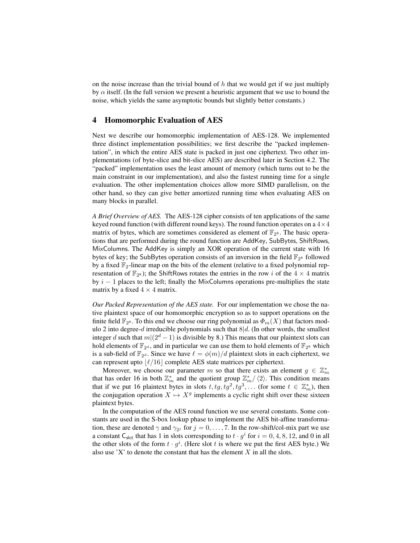on the noise increase than the trivial bound of  $h$  that we would get if we just multiply by  $\alpha$  itself. (In the full version we present a heuristic argument that we use to bound the noise, which yields the same asymptotic bounds but slightly better constants.)

# 4 Homomorphic Evaluation of AES

Next we describe our homomorphic implementation of AES-128. We implemented three distinct implementation possibilities; we first describe the "packed implementation", in which the entire AES state is packed in just one ciphertext. Two other implementations (of byte-slice and bit-slice AES) are described later in Section 4.2. The "packed" implementation uses the least amount of memory (which turns out to be the main constraint in our implementation), and also the fastest running time for a single evaluation. The other implementation choices allow more SIMD parallelism, on the other hand, so they can give better amortized running time when evaluating AES on many blocks in parallel.

*A Brief Overview of AES.* The AES-128 cipher consists of ten applications of the same keyed round function (with different round keys). The round function operates on a  $4\times4$ matrix of bytes, which are sometimes considered as element of  $\mathbb{F}_{2^8}$ . The basic operations that are performed during the round function are AddKey, SubBytes, ShiftRows, MixColumns. The AddKey is simply an XOR operation of the current state with 16 bytes of key; the SubBytes operation consists of an inversion in the field  $\mathbb{F}_{2^8}$  followed by a fixed  $\mathbb{F}_2$ -linear map on the bits of the element (relative to a fixed polynomial representation of  $\mathbb{F}_{28}$ ); the ShiftRows rotates the entries in the row i of the  $4 \times 4$  matrix by  $i - 1$  places to the left; finally the MixColumns operations pre-multiplies the state matrix by a fixed  $4 \times 4$  matrix.

*Our Packed Representation of the AES state.* For our implementation we chose the native plaintext space of our homomorphic encryption so as to support operations on the finite field  $\mathbb{F}_{2^8}$ . To this end we choose our ring polynomial as  $\Phi_m(X)$  that factors modulo 2 into degree-d irreducible polynomials such that  $8|d$ . (In other words, the smallest integer d such that  $m|(2^d - 1)$  is divisible by 8.) This means that our plaintext slots can hold elements of  $\mathbb{F}_{2^d}$ , and in particular we can use them to hold elements of  $\mathbb{F}_{2^8}$  which is a sub-field of  $\mathbb{F}_{2^d}$ . Since we have  $\ell = \phi(m)/d$  plaintext slots in each ciphertext, we can represent upto  $\lvert \ell/16 \rvert$  complete AES state matrices per ciphertext.

Moreover, we choose our parameter m so that there exists an element  $g \in \mathbb{Z}_m^*$ that has order 16 in both  $\mathbb{Z}_m^*$  and the quotient group  $\mathbb{Z}_m^*/\langle 2 \rangle$ . This condition means that if we put 16 plaintext bytes in slots  $t, tg, tg^2, tg^3, \ldots$  (for some  $t \in \mathbb{Z}_m^*$ ), then the conjugation operation  $X \mapsto X^g$  implements a cyclic right shift over these sixteen plaintext bytes.

In the computation of the AES round function we use several constants. Some constants are used in the S-box lookup phase to implement the AES bit-affine transformation, these are denoted  $\gamma$  and  $\gamma_{2}$  for  $j = 0, \ldots, 7$ . In the row-shift/col-mix part we use a constant C<sub>slct</sub> that has 1 in slots corresponding to  $t \cdot g^i$  for  $i = 0, 4, 8, 12$ , and 0 in all the other slots of the form  $t \cdot g^i$ . (Here slot t is where we put the first AES byte.) We also use 'X' to denote the constant that has the element  $X$  in all the slots.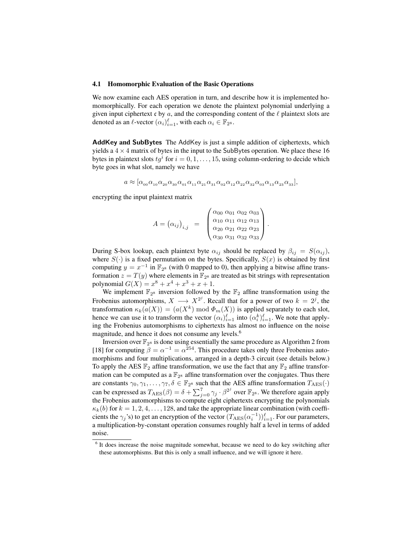#### 4.1 Homomorphic Evaluation of the Basic Operations

We now examine each AES operation in turn, and describe how it is implemented homomorphically. For each operation we denote the plaintext polynomial underlying a given input ciphertext c by a, and the corresponding content of the  $\ell$  plaintext slots are denoted as an  $\ell$ -vector  $(\alpha_i)_{i=1}^{\ell}$ , with each  $\alpha_i \in \mathbb{F}_{2^8}$ .

AddKey and SubBytes The AddKey is just a simple addition of ciphertexts, which yields a  $4 \times 4$  matrix of bytes in the input to the SubBytes operation. We place these 16 bytes in plaintext slots  $tg^i$  for  $i = 0, 1, ..., 15$ , using column-ordering to decide which byte goes in what slot, namely we have

$$
a \approx [\alpha_{00}\alpha_{10}\alpha_{20}\alpha_{30}\alpha_{01}\alpha_{11}\alpha_{21}\alpha_{31}\alpha_{02}\alpha_{12}\alpha_{22}\alpha_{32}\alpha_{03}\alpha_{13}\alpha_{23}\alpha_{33}],
$$

encrypting the input plaintext matrix

$$
A = (\alpha_{ij})_{i,j} = \begin{pmatrix} \alpha_{00} & \alpha_{01} & \alpha_{02} & \alpha_{03} \\ \alpha_{10} & \alpha_{11} & \alpha_{12} & \alpha_{13} \\ \alpha_{20} & \alpha_{21} & \alpha_{22} & \alpha_{23} \\ \alpha_{30} & \alpha_{31} & \alpha_{32} & \alpha_{33} \end{pmatrix}.
$$

During S-box lookup, each plaintext byte  $\alpha_{ij}$  should be replaced by  $\beta_{ij} = S(\alpha_{ij}),$ where  $S(\cdot)$  is a fixed permutation on the bytes. Specifically,  $S(x)$  is obtained by first computing  $y = x^{-1}$  in  $\mathbb{F}_{2^8}$  (with 0 mapped to 0), then applying a bitwise affine transformation  $z = T(y)$  where elements in  $\mathbb{F}_{2^8}$  are treated as bit strings with representation polynomial  $G(X) = x^8 + x^4 + x^3 + x + 1$ .

We implement  $\mathbb{F}_{2^8}$  inversion followed by the  $\mathbb{F}_2$  affine transformation using the Frobenius automorphisms,  $X \longrightarrow X^{2^j}$ . Recall that for a power of two  $k = 2^j$ , the transformation  $\kappa_k(a(X)) = (a(X^k) \bmod \Phi_m(X))$  is applied separately to each slot, hence we can use it to transform the vector  $(\alpha_i)_{i=1}^{\ell}$  into  $(\alpha_i^k)_{i=1}^{\ell}$ . We note that applying the Frobenius automorphisms to ciphertexts has almost no influence on the noise magnitude, and hence it does not consume any levels.<sup>6</sup>

Inversion over  $\mathbb{F}_{2^8}$  is done using essentially the same procedure as Algorithm 2 from [18] for computing  $\beta = \alpha^{-1} = \alpha^{254}$ . This procedure takes only three Frobenius automorphisms and four multiplications, arranged in a depth-3 circuit (see details below.) To apply the AES  $\mathbb{F}_2$  affine transformation, we use the fact that any  $\mathbb{F}_2$  affine transformation can be computed as a  $\mathbb{F}_{2^8}$  affine transformation over the conjugates. Thus there are constants  $\gamma_0, \gamma_1, \ldots, \gamma_7, \delta \in \mathbb{F}_{2^8}$  such that the AES affine transformation  $T_{\text{AES}}(\cdot)$ can be expressed as  $T_{\text{AES}}(\beta) = \delta + \sum_{j=0}^{7} \gamma_j \cdot \beta^{2^j}$  over  $\mathbb{F}_{2^8}$ . We therefore again apply the Frobenius automorphisms to compute eight ciphertexts encrypting the polynomials  $\kappa_k(b)$  for  $k = 1, 2, 4, \ldots, 128$ , and take the appropriate linear combination (with coefficients the  $\gamma_j$ 's) to get an encryption of the vector  $(T_{\text{AES}}(\alpha_i^{-1}))_{i=1}^{\ell}$ . For our parameters, a multiplication-by-constant operation consumes roughly half a level in terms of added noise.

<sup>&</sup>lt;sup>6</sup> It does increase the noise magnitude somewhat, because we need to do key switching after these automorphisms. But this is only a small influence, and we will ignore it here.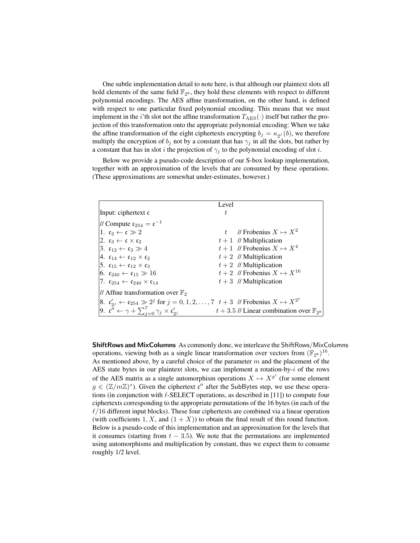One subtle implementation detail to note here, is that although our plaintext slots all hold elements of the same field  $\mathbb{F}_{2^8}$ , they hold these elements with respect to different polynomial encodings. The AES affine transformation, on the other hand, is defined with respect to one particular fixed polynomial encoding. This means that we must implement in the *i*'th slot not the affine transformation  $T_{\text{AES}}(\cdot)$  itself but rather the projection of this transformation onto the appropriate polynomial encoding: When we take the affine transformation of the eight ciphertexts encrypting  $b_j = \kappa_{2^j}(b)$ , we therefore multiply the encryption of  $b_j$  not by a constant that has  $\gamma_j$  in all the slots, but rather by a constant that has in slot i the projection of  $\gamma_i$  to the polynomial encoding of slot i.

Below we provide a pseudo-code description of our S-box lookup implementation, together with an approximation of the levels that are consumed by these operations. (These approximations are somewhat under-estimates, however.)

|                                                                                                  | Level                                                   |  |  |
|--------------------------------------------------------------------------------------------------|---------------------------------------------------------|--|--|
| Input: ciphertext c                                                                              | t                                                       |  |  |
| // Compute $c_{254} = c^{-1}$                                                                    |                                                         |  |  |
| 1. $\mathfrak{c}_2 \leftarrow \mathfrak{c} \gg 2$                                                | t // Frobenius $X \mapsto X^2$                          |  |  |
| 2. $c_3 \leftarrow c \times c_2$                                                                 | $t+1$ // Multiplication                                 |  |  |
| 3. $\mathfrak{c}_{12} \leftarrow \mathfrak{c}_3 \gg 4$                                           | $t+1$ // Frobenius $X \mapsto X^4$                      |  |  |
| 4. $c_{14} \leftarrow c_{12} \times c_2$                                                         | $t + 2$ // Multiplication                               |  |  |
| 5. $c_{15} \leftarrow c_{12} \times c_3$                                                         | $t + 2$ // Multiplication                               |  |  |
| 6. $c_{240} \leftarrow c_{15} \gg 16$                                                            | $t+2$ // Frobenius $X \mapsto X^{16}$                   |  |  |
| 7. $c_{254} \leftarrow c_{240} \times c_{14}$                                                    | $t + 3$ // Multiplication                               |  |  |
| // Affine transformation over $\mathbb{F}_2$                                                     |                                                         |  |  |
| 8. $c'_{2j}$ ← $c_{254}$ ≫ $2^j$ for $j = 0, 1, 2, , 7$ $t + 3$ // Frobenius $X \mapsto X^{2^j}$ |                                                         |  |  |
| 9. $\mathfrak{c}'' \leftarrow \gamma + \sum_{i=0}^{7} \gamma_i \times \mathfrak{c}'_{2i}$        | $t + 3.5$ // Linear combination over $\mathbb{F}_{2^8}$ |  |  |

ShiftRows and MixColumns As commonly done, we interleave the ShiftRows/MixColumns operations, viewing both as a single linear transformation over vectors from  $(\mathbb{F}_{2^8})^{16}$ . As mentioned above, by a careful choice of the parameter  $m$  and the placement of the AES state bytes in our plaintext slots, we can implement a rotation-by- $i$  of the rows of the AES matrix as a single automorphism operations  $X \mapsto X^{g^i}$  (for some element  $g \in (\mathbb{Z}/m\mathbb{Z})^*$ ). Given the ciphertext c'' after the SubBytes step, we use these operations (in conjunction with  $\ell$ -SELECT operations, as described in [11]) to compute four ciphertexts corresponding to the appropriate permutations of the 16 bytes (in each of the  $\ell/16$  different input blocks). These four ciphertexts are combined via a linear operation (with coefficients 1, X, and  $(1 + X)$ ) to obtain the final result of this round function. Below is a pseudo-code of this implementation and an approximation for the levels that it consumes (starting from  $t - 3.5$ ). We note that the permutations are implemented using automorphisms and multiplication by constant, thus we expect them to consume roughly 1/2 level.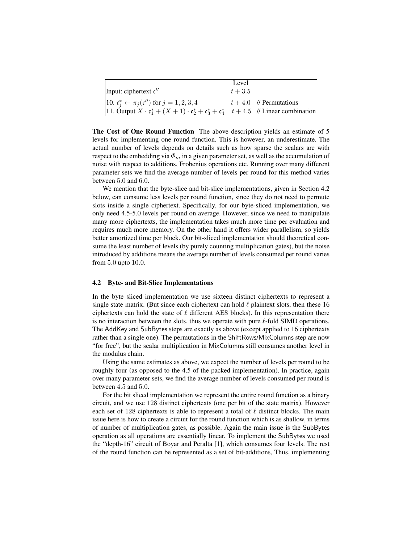|                                                                                                                                                  | Level     |                           |
|--------------------------------------------------------------------------------------------------------------------------------------------------|-----------|---------------------------|
| Input: ciphertext $c''$                                                                                                                          | $t + 3.5$ |                           |
| 10. $\mathfrak{c}_i^* \leftarrow \pi_j(\mathfrak{c}'')$ for $j = 1, 2, 3, 4$                                                                     |           | $t + 4.0$ // Permutations |
| 11. Output $X \cdot \mathfrak{c}_1^* + (X + 1) \cdot \mathfrak{c}_2^* + \mathfrak{c}_3^* + \mathfrak{c}_4^* \quad t + 4.5$ // Linear combination |           |                           |

The Cost of One Round Function The above description yields an estimate of 5 levels for implementing one round function. This is however, an underestimate. The actual number of levels depends on details such as how sparse the scalars are with respect to the embedding via  $\Phi_m$  in a given parameter set, as well as the accumulation of noise with respect to additions, Frobenius operations etc. Running over many different parameter sets we find the average number of levels per round for this method varies between 5.0 and 6.0.

We mention that the byte-slice and bit-slice implementations, given in Section 4.2 below, can consume less levels per round function, since they do not need to permute slots inside a single ciphertext. Specifically, for our byte-sliced implementation, we only need 4.5-5.0 levels per round on average. However, since we need to manipulate many more ciphertexts, the implementation takes much more time per evaluation and requires much more memory. On the other hand it offers wider parallelism, so yields better amortized time per block. Our bit-sliced implementation should theoretical consume the least number of levels (by purely counting multiplication gates), but the noise introduced by additions means the average number of levels consumed per round varies from 5.0 upto 10.0.

#### 4.2 Byte- and Bit-Slice Implementations

In the byte sliced implementation we use sixteen distinct ciphertexts to represent a single state matrix. (But since each ciphertext can hold  $\ell$  plaintext slots, then these 16 ciphertexts can hold the state of  $\ell$  different AES blocks). In this representation there is no interaction between the slots, thus we operate with pure  $\ell$ -fold SIMD operations. The AddKey and SubBytes steps are exactly as above (except applied to 16 ciphertexts rather than a single one). The permutations in the ShiftRows/MixColumns step are now "for free", but the scalar multiplication in MixColumns still consumes another level in the modulus chain.

Using the same estimates as above, we expect the number of levels per round to be roughly four (as opposed to the 4.5 of the packed implementation). In practice, again over many parameter sets, we find the average number of levels consumed per round is between 4.5 and 5.0.

For the bit sliced implementation we represent the entire round function as a binary circuit, and we use 128 distinct ciphertexts (one per bit of the state matrix). However each set of 128 ciphertexts is able to represent a total of  $\ell$  distinct blocks. The main issue here is how to create a circuit for the round function which is as shallow, in terms of number of multiplication gates, as possible. Again the main issue is the SubBytes operation as all operations are essentially linear. To implement the SubBytes we used the "depth-16" circuit of Boyar and Peralta [1], which consumes four levels. The rest of the round function can be represented as a set of bit-additions, Thus, implementing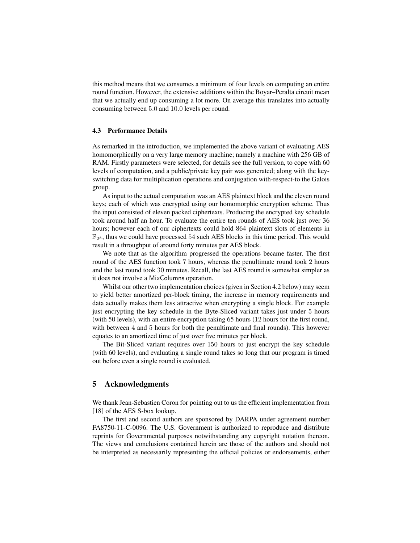this method means that we consumes a minimum of four levels on computing an entire round function. However, the extensive additions within the Boyar–Peralta circuit mean that we actually end up consuming a lot more. On average this translates into actually consuming between 5.0 and 10.0 levels per round.

#### 4.3 Performance Details

As remarked in the introduction, we implemented the above variant of evaluating AES homomorphically on a very large memory machine; namely a machine with 256 GB of RAM. Firstly parameters were selected, for details see the full version, to cope with 60 levels of computation, and a public/private key pair was generated; along with the keyswitching data for multiplication operations and conjugation with-respect-to the Galois group.

As input to the actual computation was an AES plaintext block and the eleven round keys; each of which was encrypted using our homomorphic encryption scheme. Thus the input consisted of eleven packed ciphertexts. Producing the encrypted key schedule took around half an hour. To evaluate the entire ten rounds of AES took just over 36 hours; however each of our ciphertexts could hold 864 plaintext slots of elements in  $\mathbb{F}_{2^8}$ , thus we could have processed 54 such AES blocks in this time period. This would result in a throughput of around forty minutes per AES block.

We note that as the algorithm progressed the operations became faster. The first round of the AES function took 7 hours, whereas the penultimate round took 2 hours and the last round took 30 minutes. Recall, the last AES round is somewhat simpler as it does not involve a MixColumns operation.

Whilst our other two implementation choices (given in Section 4.2 below) may seem to yield better amortized per-block timing, the increase in memory requirements and data actually makes them less attractive when encrypting a single block. For example just encrypting the key schedule in the Byte-Sliced variant takes just under 5 hours (with 50 levels), with an entire encryption taking 65 hours (12 hours for the first round, with between 4 and 5 hours for both the penultimate and final rounds). This however equates to an amortized time of just over five minutes per block.

The Bit-Sliced variant requires over 150 hours to just encrypt the key schedule (with 60 levels), and evaluating a single round takes so long that our program is timed out before even a single round is evaluated.

# 5 Acknowledgments

We thank Jean-Sebastien Coron for pointing out to us the efficient implementation from [18] of the AES S-box lookup.

The first and second authors are sponsored by DARPA under agreement number FA8750-11-C-0096. The U.S. Government is authorized to reproduce and distribute reprints for Governmental purposes notwithstanding any copyright notation thereon. The views and conclusions contained herein are those of the authors and should not be interpreted as necessarily representing the official policies or endorsements, either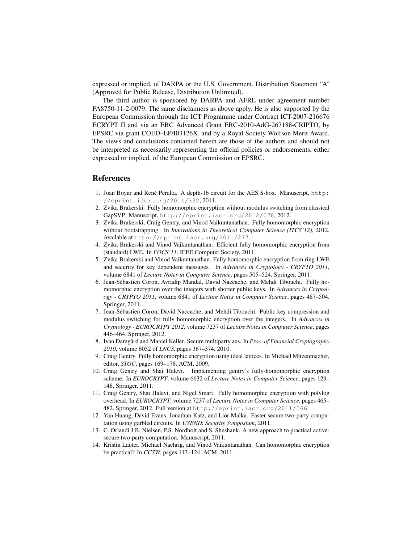expressed or implied, of DARPA or the U.S. Government. Distribution Statement "A" (Approved for Public Release, Distribution Unlimited).

The third author is sponsored by DARPA and AFRL under agreement number FA8750-11-2-0079. The same disclaimers as above apply. He is also supported by the European Commission through the ICT Programme under Contract ICT-2007-216676 ECRYPT II and via an ERC Advanced Grant ERC-2010-AdG-267188-CRIPTO, by EPSRC via grant COED–EP/I03126X, and by a Royal Society Wolfson Merit Award. The views and conclusions contained herein are those of the authors and should not be interpreted as necessarily representing the official policies or endorsements, either expressed or implied, of the European Commission or EPSRC.

# References

- 1. Joan Boyar and Rene Peralta. A depth-16 circuit for the AES S-box. Manuscript, ´ http: //eprint.iacr.org/2011/332, 2011.
- 2. Zvika Brakerski. Fully homomorphic encryption without modulus switching from classical GapSVP. Manuscript, http://eprint.iacr.org/2012/078, 2012.
- 3. Zvika Brakerski, Craig Gentry, and Vinod Vaikuntanathan. Fully homomorphic encryption without bootstrapping. In *Innovations in Theoretical Computer Science (ITCS'12)*, 2012. Available at http://eprint.iacr.org/2011/277.
- 4. Zvika Brakerski and Vinod Vaikuntanathan. Efficient fully homomorphic encryption from (standard) LWE. In *FOCS'11*. IEEE Computer Society, 2011.
- 5. Zvika Brakerski and Vinod Vaikuntanathan. Fully homomorphic encryption from ring-LWE and security for key dependent messages. In *Advances in Cryptology - CRYPTO 2011*, volume 6841 of *Lecture Notes in Computer Science*, pages 505–524. Springer, 2011.
- 6. Jean-Sebastien Coron, Avradip Mandal, David Naccache, and Mehdi Tibouchi. Fully ho- ´ momorphic encryption over the integers with shorter public keys. In *Advances in Cryptology - CRYPTO 2011*, volume 6841 of *Lecture Notes in Computer Science*, pages 487–504. Springer, 2011.
- 7. Jean-Sebastien Coron, David Naccache, and Mehdi Tibouchi. Public key compression and ´ modulus switching for fully homomorphic encryption over the integers. In *Advances in Cryptology - EUROCRYPT 2012*, volume 7237 of *Lecture Notes in Computer Science*, pages 446–464. Springer, 2012.
- 8. Ivan Damgård and Marcel Keller. Secure multiparty aes. In *Proc. of Financial Cryptography 2010*, volume 6052 of *LNCS*, pages 367–374, 2010.
- 9. Craig Gentry. Fully homomorphic encryption using ideal lattices. In Michael Mitzenmacher, editor, *STOC*, pages 169–178. ACM, 2009.
- 10. Craig Gentry and Shai Halevi. Implementing gentry's fully-homomorphic encryption scheme. In *EUROCRYPT*, volume 6632 of *Lecture Notes in Computer Science*, pages 129– 148. Springer, 2011.
- 11. Craig Gentry, Shai Halevi, and Nigel Smart. Fully homomorphic encryption with polylog overhead. In *EUROCRYPT*, volume 7237 of *Lecture Notes in Computer Science*, pages 465– 482. Springer, 2012. Full version at http://eprint.iacr.org/2011/566.
- 12. Yan Huang, David Evans, Jonathan Katz, and Lior Malka. Faster secure two-party computation using garbled circuits. In *USENIX Security Symposium*, 2011.
- 13. C. Orlandi J.B. Nielsen, P.S. Nordholt and S. Sheshank. A new approach to practical activesecure two-party computation. Manuscript, 2011.
- 14. Kristin Lauter, Michael Naehrig, and Vinod Vaikuntanathan. Can homomorphic encryption be practical? In *CCSW*, pages 113–124. ACM, 2011.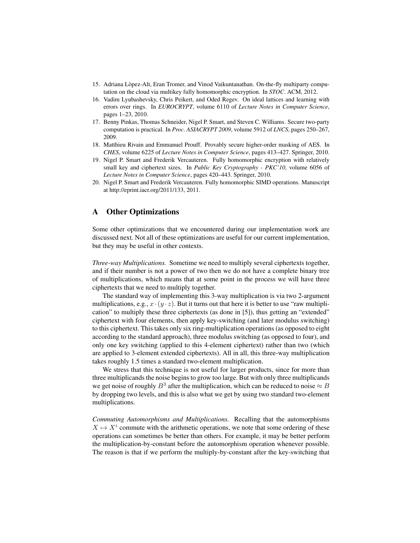- 15. Adriana Lopez-Alt, Eran Tromer, and Vinod Vaikuntanathan. On-the-fly multiparty compu- ` tation on the cloud via multikey fully homomorphic encryption. In *STOC*. ACM, 2012.
- 16. Vadim Lyubashevsky, Chris Peikert, and Oded Regev. On ideal lattices and learning with errors over rings. In *EUROCRYPT*, volume 6110 of *Lecture Notes in Computer Science*, pages 1–23, 2010.
- 17. Benny Pinkas, Thomas Schneider, Nigel P. Smart, and Steven C. Williams. Secure two-party computation is practical. In *Proc. ASIACRYPT 2009*, volume 5912 of *LNCS*, pages 250–267, 2009.
- 18. Matthieu Rivain and Emmanuel Prouff. Provably secure higher-order masking of AES. In *CHES*, volume 6225 of *Lecture Notes in Computer Science*, pages 413–427. Springer, 2010.
- 19. Nigel P. Smart and Frederik Vercauteren. Fully homomorphic encryption with relatively small key and ciphertext sizes. In *Public Key Cryptography - PKC'10*, volume 6056 of *Lecture Notes in Computer Science*, pages 420–443. Springer, 2010.
- 20. Nigel P. Smart and Frederik Vercauteren. Fully homomorphic SIMD operations. Manuscript at http://eprint.iacr.org/2011/133, 2011.

# A Other Optimizations

Some other optimizations that we encountered during our implementation work are discussed next. Not all of these optimizations are useful for our current implementation, but they may be useful in other contexts.

*Three-way Multiplications.* Sometime we need to multiply several ciphertexts together, and if their number is not a power of two then we do not have a complete binary tree of multiplications, which means that at some point in the process we will have three ciphertexts that we need to multiply together.

The standard way of implementing this 3-way multiplication is via two 2-argument multiplications, e.g.,  $x \cdot (y \cdot z)$ . But it turns out that here it is better to use "raw multiplication" to multiply these three ciphertexts (as done in [5]), thus getting an "extended" ciphertext with four elements, then apply key-switching (and later modulus switching) to this ciphertext. This takes only six ring-multiplication operations (as opposed to eight according to the standard approach), three modulus switching (as opposed to four), and only one key switching (applied to this 4-element ciphertext) rather than two (which are applied to 3-element extended ciphertexts). All in all, this three-way multiplication takes roughly 1.5 times a standard two-element multiplication.

We stress that this technique is not useful for larger products, since for more than three multiplicands the noise begins to grow too large. But with only three multiplicands we get noise of roughly  $B^3$  after the multiplication, which can be reduced to noise  $\approx B$ by dropping two levels, and this is also what we get by using two standard two-element multiplications.

*Commuting Automorphisms and Multiplications.* Recalling that the automorphisms  $X \mapsto X^i$  commute with the arithmetic operations, we note that some ordering of these operations can sometimes be better than others. For example, it may be better perform the multiplication-by-constant before the automorphism operation whenever possible. The reason is that if we perform the multiply-by-constant after the key-switching that